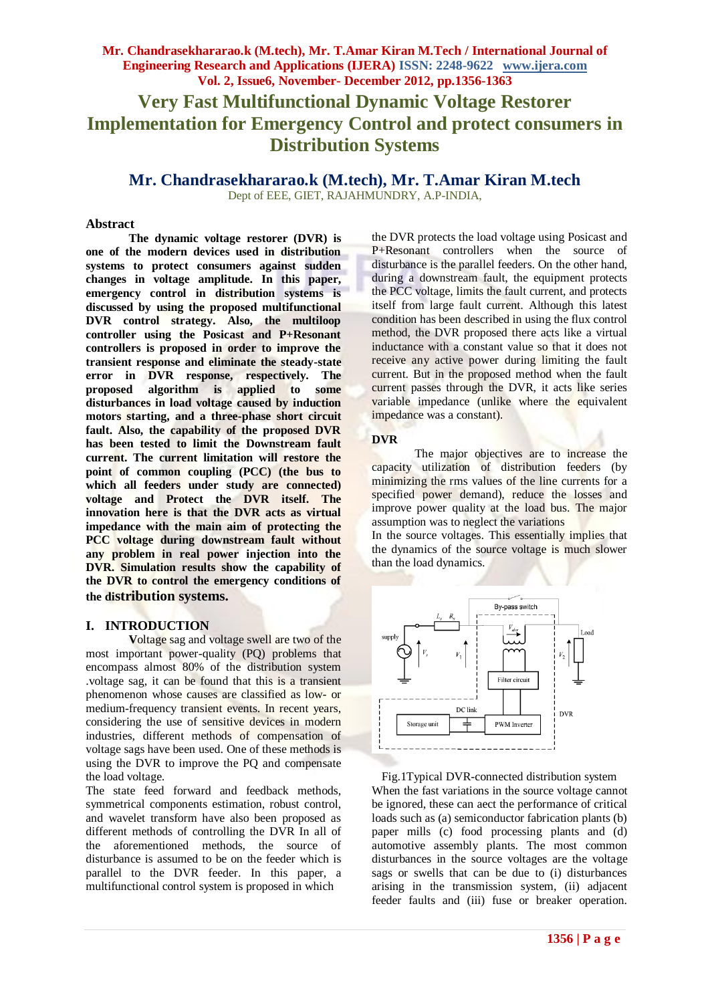# **Very Fast Multifunctional Dynamic Voltage Restorer Implementation for Emergency Control and protect consumers in Distribution Systems**

**Mr. Chandrasekhararao.k (M.tech), Mr. T.Amar Kiran M.tech** Dept of EEE, GIET, RAJAHMUNDRY, A.P-INDIA,

#### **Abstract**

**The dynamic voltage restorer (DVR) is one of the modern devices used in distribution systems to protect consumers against sudden changes in voltage amplitude. In this paper, emergency control in distribution systems is discussed by using the proposed multifunctional DVR control strategy. Also, the multiloop controller using the Posicast and P+Resonant controllers is proposed in order to improve the transient response and eliminate the steady-state error in DVR response, respectively. The proposed algorithm is applied to some disturbances in load voltage caused by induction motors starting, and a three-phase short circuit fault. Also, the capability of the proposed DVR has been tested to limit the Downstream fault current. The current limitation will restore the point of common coupling (PCC) (the bus to which all feeders under study are connected) voltage and Protect the DVR itself. The innovation here is that the DVR acts as virtual impedance with the main aim of protecting the PCC voltage during downstream fault without any problem in real power injection into the DVR. Simulation results show the capability of the DVR to control the emergency conditions of the distribution systems.** 

#### **I. INTRODUCTION**

**V**oltage sag and voltage swell are two of the most important power-quality (PQ) problems that encompass almost 80% of the distribution system .voltage sag, it can be found that this is a transient phenomenon whose causes are classified as low- or medium-frequency transient events. In recent years, considering the use of sensitive devices in modern industries, different methods of compensation of voltage sags have been used. One of these methods is using the DVR to improve the PQ and compensate the load voltage.

The state feed forward and feedback methods, symmetrical components estimation, robust control, and wavelet transform have also been proposed as different methods of controlling the DVR In all of the aforementioned methods, the source of disturbance is assumed to be on the feeder which is parallel to the DVR feeder. In this paper, a multifunctional control system is proposed in which

the DVR protects the load voltage using Posicast and P+Resonant controllers when the source of disturbance is the parallel feeders. On the other hand, during a downstream fault, the equipment protects the PCC voltage, limits the fault current, and protects itself from large fault current. Although this latest condition has been described in using the flux control method, the DVR proposed there acts like a virtual inductance with a constant value so that it does not receive any active power during limiting the fault current. But in the proposed method when the fault current passes through the DVR, it acts like series variable impedance (unlike where the equivalent impedance was a constant).

#### **DVR**

The major objectives are to increase the capacity utilization of distribution feeders (by minimizing the rms values of the line currents for a specified power demand), reduce the losses and improve power quality at the load bus. The major assumption was to neglect the variations

In the source voltages. This essentially implies that the dynamics of the source voltage is much slower than the load dynamics.



Fig.1Typical DVR-connected distribution system When the fast variations in the source voltage cannot be ignored, these can aect the performance of critical loads such as (a) semiconductor fabrication plants (b) paper mills (c) food processing plants and (d) automotive assembly plants. The most common disturbances in the source voltages are the voltage sags or swells that can be due to (i) disturbances arising in the transmission system, (ii) adjacent feeder faults and (iii) fuse or breaker operation.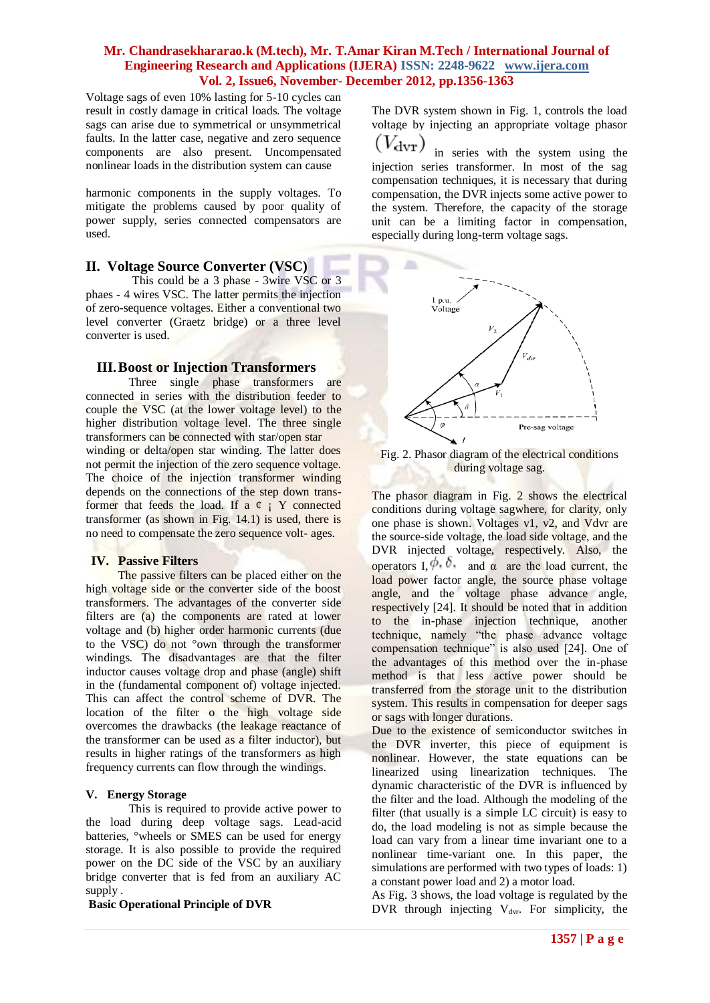Voltage sags of even 10% lasting for 5-10 cycles can result in costly damage in critical loads. The voltage sags can arise due to symmetrical or unsymmetrical faults. In the latter case, negative and zero sequence components are also present. Uncompensated nonlinear loads in the distribution system can cause

harmonic components in the supply voltages. To mitigate the problems caused by poor quality of power supply, series connected compensators are used.

### **II. Voltage Source Converter (VSC)**

 This could be a 3 phase - 3wire VSC or 3 phaes - 4 wires VSC. The latter permits the injection of zero-sequence voltages. Either a conventional two level converter (Graetz bridge) or a three level converter is used.

### **III.Boost or Injection Transformers**

Three single phase transformers are connected in series with the distribution feeder to couple the VSC (at the lower voltage level) to the higher distribution voltage level. The three single transformers can be connected with star/open star winding or delta/open star winding. The latter does not permit the injection of the zero sequence voltage. The choice of the injection transformer winding depends on the connections of the step down transformer that feeds the load. If  $a \phi$  i Y connected transformer (as shown in Fig. 14.1) is used, there is no need to compensate the zero sequence volt- ages.

### **IV. Passive Filters**

The passive filters can be placed either on the high voltage side or the converter side of the boost transformers. The advantages of the converter side filters are (a) the components are rated at lower voltage and (b) higher order harmonic currents (due to the VSC) do not °own through the transformer windings. The disadvantages are that the filter inductor causes voltage drop and phase (angle) shift in the (fundamental component of) voltage injected. This can affect the control scheme of DVR. The location of the filter o the high voltage side overcomes the drawbacks (the leakage reactance of the transformer can be used as a filter inductor), but results in higher ratings of the transformers as high frequency currents can flow through the windings.

### **V. Energy Storage**

This is required to provide active power to the load during deep voltage sags. Lead-acid batteries, °wheels or SMES can be used for energy storage. It is also possible to provide the required power on the DC side of the VSC by an auxiliary bridge converter that is fed from an auxiliary AC supply .

**Basic Operational Principle of DVR**

The DVR system shown in Fig. 1, controls the load voltage by injecting an appropriate voltage phasor

 $(V_{\rm dvr})$ in series with the system using the injection series transformer. In most of the sag compensation techniques, it is necessary that during compensation, the DVR injects some active power to the system. Therefore, the capacity of the storage unit can be a limiting factor in compensation, especially during long-term voltage sags.



Fig. 2. Phasor diagram of the electrical conditions during voltage sag.

The phasor diagram in Fig. 2 shows the electrical conditions during voltage sagwhere, for clarity, only one phase is shown. Voltages v1, v2, and Vdvr are the source-side voltage, the load side voltage, and the DVR injected voltage, respectively. Also, the operators I,  $\phi$ , δ, and α are the load current, the load power factor angle, the source phase voltage angle, and the voltage phase advance angle, respectively [24]. It should be noted that in addition to the in-phase injection technique, another technique, namely "the phase advance voltage compensation technique" is also used [24]. One of the advantages of this method over the in-phase method is that less active power should be transferred from the storage unit to the distribution system. This results in compensation for deeper sags or sags with longer durations.

Due to the existence of semiconductor switches in the DVR inverter, this piece of equipment is nonlinear. However, the state equations can be linearized using linearization techniques. The dynamic characteristic of the DVR is influenced by the filter and the load. Although the modeling of the filter (that usually is a simple LC circuit) is easy to do, the load modeling is not as simple because the load can vary from a linear time invariant one to a nonlinear time-variant one. In this paper, the simulations are performed with two types of loads: 1) a constant power load and 2) a motor load.

As Fig. 3 shows, the load voltage is regulated by the  $DVR$  through injecting  $V_{\text{dur}}$ . For simplicity, the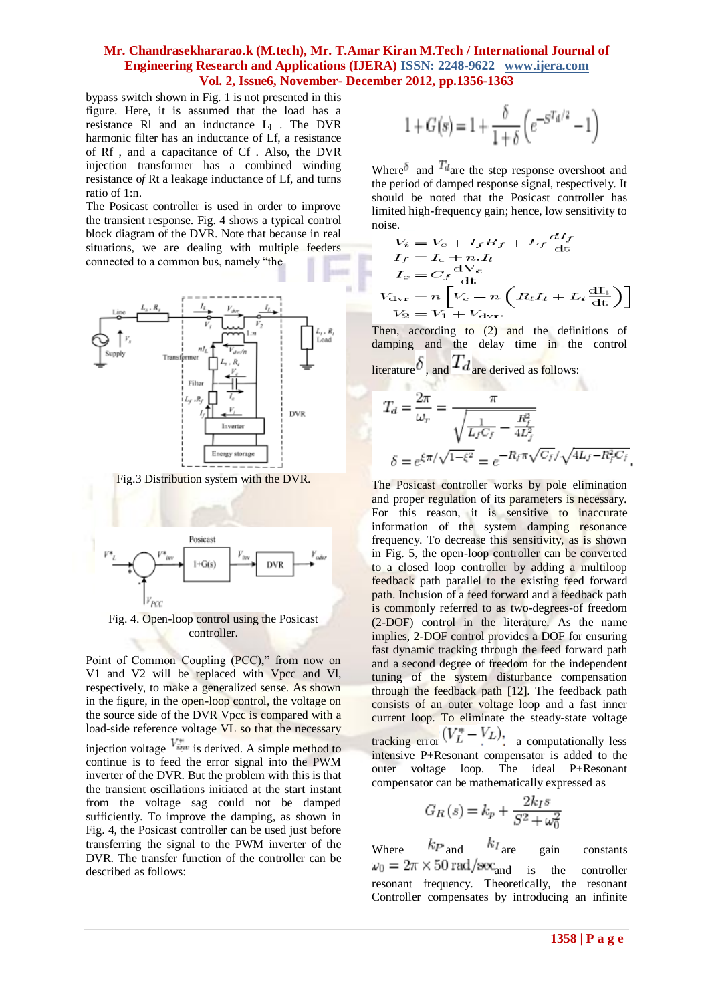bypass switch shown in Fig. 1 is not presented in this figure. Here, it is assumed that the load has a resistance Rl and an inductance  $L_1$ . The DVR harmonic filter has an inductance of Lf, a resistance of Rf , and a capacitance of Cf . Also, the DVR injection transformer has a combined winding resistance o*f* Rt a leakage inductance of Lf, and turns ratio of 1:n.

The Posicast controller is used in order to improve the transient response. Fig. 4 shows a typical control block diagram of the DVR. Note that because in real situations, we are dealing with multiple feeders connected to a common bus, namely "the



Fig.3 Distribution system with the DVR.



Fig. 4. Open-loop control using the Posicast controller.

Point of Common Coupling (PCC)," from now on V1 and V2 will be replaced with Vpcc and Vl, respectively, to make a generalized sense. As shown in the figure, in the open-loop control, the voltage on the source side of the DVR Vpcc is compared with a load-side reference voltage VL so that the necessary injection voltage  $V_{ijat}^*$  is derived. A simple method to continue is to feed the error signal into the PWM inverter of the DVR. But the problem with this is that the transient oscillations initiated at the start instant from the voltage sag could not be damped sufficiently. To improve the damping, as shown in Fig. 4, the Posicast controller can be used just before transferring the signal to the PWM inverter of the DVR. The transfer function of the controller can be described as follows:

$$
1+G\left(s\right)=1+\frac{\delta}{1+\delta}\left(e^{-S^{T_d/2}}-1\right)
$$

Where  $\delta$  and  $T_{\text{degree}}$  the step response overshoot and the period of damped response signal, respectively. It should be noted that the Posicast controller has limited high-frequency gain; hence, low sensitivity to noise.

$$
V_i = V_c + I_f R_f + L_f \frac{dI_f}{dt}
$$
  
\n
$$
I_f = I_c + nI_t
$$
  
\n
$$
I_c = C_f \frac{dV_c}{dt}
$$
  
\n
$$
V_{\text{dur}} = n \left[ V_c - n \left( R_t I_t + L_t \frac{dI_t}{dt} \right) \right]
$$
  
\n
$$
V_2 = V_1 + V_{\text{dur}}.
$$

Then, according to (2) and the definitions of damping and the delay time in the control literature  $\delta$ , and  $Td$  are derived as follows:

$$
T_d = \frac{2\pi}{\omega_r} = \frac{\pi}{\sqrt{\frac{1}{L_f C_f} - \frac{R_f^2}{4L_f^2}}}
$$
  

$$
\delta = e^{\xi \pi/\sqrt{1 - \xi^2}} = e^{-R_f \pi \sqrt{C_f}/\sqrt{4L_f - R_f^2 C_f}}
$$

The Posicast controller works by pole elimination and proper regulation of its parameters is necessary. For this reason, it is sensitive to inaccurate information of the system damping resonance frequency. To decrease this sensitivity, as is shown in Fig. 5, the open-loop controller can be converted to a closed loop controller by adding a multiloop feedback path parallel to the existing feed forward path. Inclusion of a feed forward and a feedback path is commonly referred to as two-degrees-of freedom (2-DOF) control in the literature. As the name implies, 2-DOF control provides a DOF for ensuring fast dynamic tracking through the feed forward path and a second degree of freedom for the independent tuning of the system disturbance compensation through the feedback path [12]. The feedback path consists of an outer voltage loop and a fast inner current loop. To eliminate the steady-state voltage tracking error  $(V_L^* - V_L)$ , a computationally less intensive P+Resonant compensator is added to the outer voltage loop. The ideal P+Resonant compensator can be mathematically expressed as

$$
G_R(s) = k_p + \frac{2k_I s}{S^2 + \omega_0^2}
$$

Where  $k_{\text{P and}}$   $k_{\text{I are}}$  gain constants  $\omega_0 = 2\pi \times 50 \text{ rad/sec}$  and is the controller resonant frequency. Theoretically, the resonant Controller compensates by introducing an infinite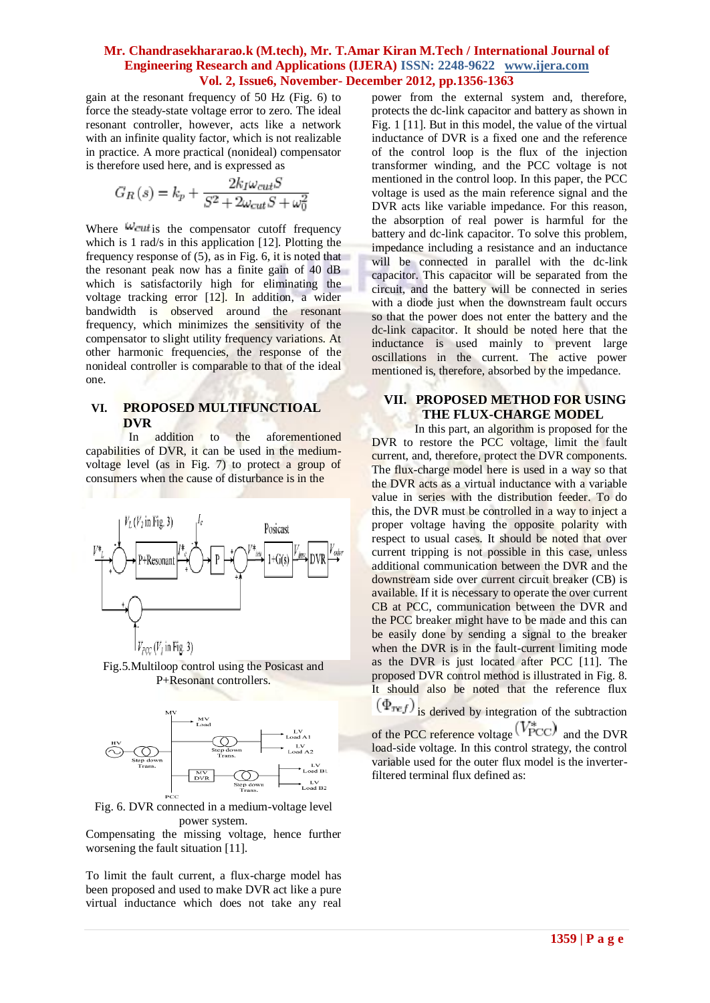gain at the resonant frequency of 50 Hz (Fig. 6) to force the steady-state voltage error to zero. The ideal resonant controller, however, acts like a network with an infinite quality factor, which is not realizable in practice. A more practical (nonideal) compensator is therefore used here, and is expressed as

$$
G_R(s) = k_p + \frac{2k_I\omega_{cut}S}{S^2 + 2\omega_{cut}S + \omega_0^2}
$$

Where  $\omega_{\text{cut}}$  is the compensator cutoff frequency which is 1 rad/s in this application [12]. Plotting the frequency response of (5), as in Fig. 6, it is noted that the resonant peak now has a finite gain of 40 dB which is satisfactorily high for eliminating the voltage tracking error [12]. In addition, a wider bandwidth is observed around the resonant frequency, which minimizes the sensitivity of the compensator to slight utility frequency variations. At other harmonic frequencies, the response of the nonideal controller is comparable to that of the ideal one.

### **VI. PROPOSED MULTIFUNCTIOAL DVR**

In addition to the aforementioned capabilities of DVR, it can be used in the mediumvoltage level (as in Fig. 7) to protect a group of consumers when the cause of disturbance is in the



Fig.5.Multiloop control using the Posicast and P+Resonant controllers.



Fig. 6. DVR connected in a medium-voltage level power system.

Compensating the missing voltage, hence further worsening the fault situation [11].

To limit the fault current, a flux-charge model has been proposed and used to make DVR act like a pure virtual inductance which does not take any real power from the external system and, therefore, protects the dc-link capacitor and battery as shown in Fig. 1 [11]. But in this model, the value of the virtual inductance of DVR is a fixed one and the reference of the control loop is the flux of the injection transformer winding, and the PCC voltage is not mentioned in the control loop. In this paper, the PCC voltage is used as the main reference signal and the DVR acts like variable impedance. For this reason, the absorption of real power is harmful for the battery and dc-link capacitor. To solve this problem, impedance including a resistance and an inductance will be connected in parallel with the dc-link capacitor. This capacitor will be separated from the circuit, and the battery will be connected in series with a diode just when the downstream fault occurs so that the power does not enter the battery and the dc-link capacitor. It should be noted here that the inductance is used mainly to prevent large oscillations in the current. The active power mentioned is, therefore, absorbed by the impedance.

### **VII. PROPOSED METHOD FOR USING THE FLUX-CHARGE MODEL**

In this part, an algorithm is proposed for the DVR to restore the PCC voltage, limit the fault current, and, therefore, protect the DVR components. The flux-charge model here is used in a way so that the DVR acts as a virtual inductance with a variable value in series with the distribution feeder. To do this, the DVR must be controlled in a way to inject a proper voltage having the opposite polarity with respect to usual cases. It should be noted that over current tripping is not possible in this case, unless additional communication between the DVR and the downstream side over current circuit breaker (CB) is available. If it is necessary to operate the over current CB at PCC, communication between the DVR and the PCC breaker might have to be made and this can be easily done by sending a signal to the breaker when the DVR is in the fault-current limiting mode as the DVR is just located after PCC [11]. The proposed DVR control method is illustrated in Fig. 8. It should also be noted that the reference flux  $(\Phi_{ref})$  is derived by integration of the subtraction of the PCC reference voltage  $(V^*_{\text{PCC}})$  and the DVR

load-side voltage. In this control strategy, the control variable used for the outer flux model is the inverterfiltered terminal flux defined as: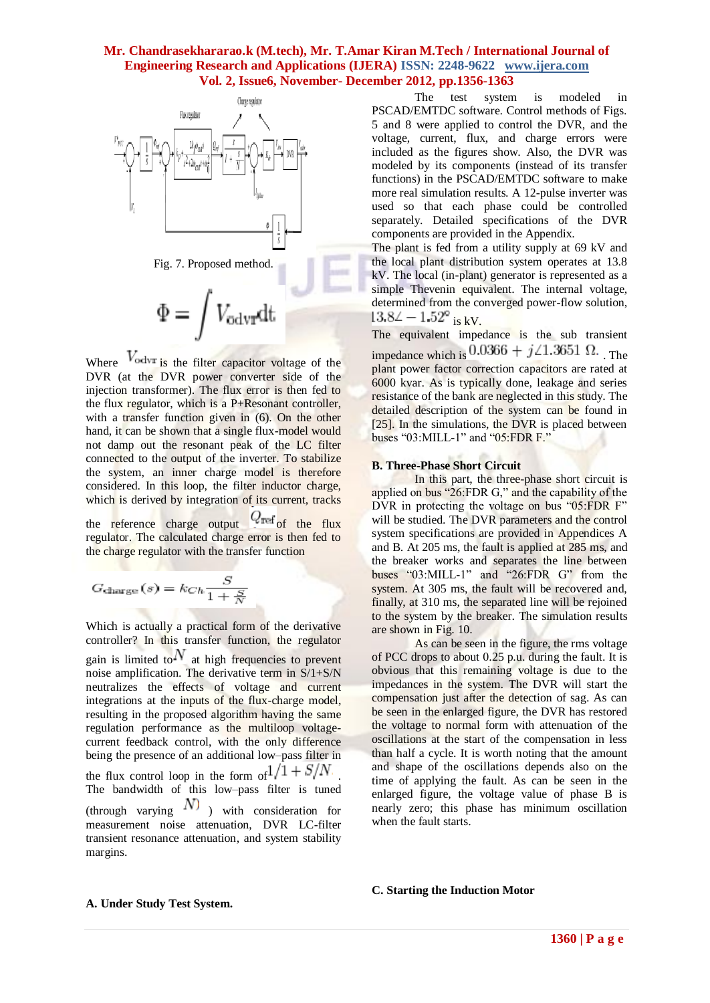

Where  $V_{\text{odvr}}$  is the filter capacitor voltage of the DVR (at the DVR power converter side of the injection transformer). The flux error is then fed to the flux regulator, which is a P+Resonant controller, with a transfer function given in (6). On the other hand, it can be shown that a single flux-model would not damp out the resonant peak of the LC filter connected to the output of the inverter. To stabilize the system, an inner charge model is therefore considered. In this loop, the filter inductor charge, which is derived by integration of its current, tracks

the reference charge output  $Q_{\text{ref}}$  of the flux regulator. The calculated charge error is then fed to the charge regulator with the transfer function

$$
G_{\text{charge}}(s) = k_{Ch} \frac{S}{1 + \frac{S}{N}}
$$

Which is actually a practical form of the derivative controller? In this transfer function, the regulator gain is limited to  $N$  at high frequencies to prevent noise amplification. The derivative term in  $S/1+S/N$ neutralizes the effects of voltage and current integrations at the inputs of the flux-charge model, resulting in the proposed algorithm having the same regulation performance as the multiloop voltagecurrent feedback control, with the only difference being the presence of an additional low–pass filter in the flux control loop in the form of  $1/1 + S/N$ . The bandwidth of this low–pass filter is tuned (through varying  $\overline{N}$ ) with consideration for measurement noise attenuation, DVR LC-filter transient resonance attenuation, and system stability margins.

The test system is modeled in PSCAD/EMTDC software. Control methods of Figs. 5 and 8 were applied to control the DVR, and the voltage, current, flux, and charge errors were included as the figures show. Also, the DVR was modeled by its components (instead of its transfer functions) in the PSCAD/EMTDC software to make more real simulation results. A 12-pulse inverter was used so that each phase could be controlled separately. Detailed specifications of the DVR components are provided in the Appendix.

The plant is fed from a utility supply at 69 kV and the local plant distribution system operates at 13.8 kV. The local (in-plant) generator is represented as a simple Thevenin equivalent. The internal voltage, determined from the converged power-flow solution,  $13.8\angle -1.52^{\circ}$  is kV.

The equivalent impedance is the sub transient impedance which is  $0.0366 + j \angle 1.3651 \Omega$ . The plant power factor correction capacitors are rated at 6000 kvar. As is typically done, leakage and series resistance of the bank are neglected in this study. The detailed description of the system can be found in [25]. In the simulations, the DVR is placed between buses "03:MILL-1" and "05:FDR F."

#### **B. Three-Phase Short Circuit**

In this part, the three-phase short circuit is applied on bus "26:FDR G," and the capability of the DVR in protecting the voltage on bus "05:FDR F" will be studied. The DVR parameters and the control system specifications are provided in Appendices A and B. At 205 ms, the fault is applied at 285 ms, and the breaker works and separates the line between buses "03:MILL-1" and "26:FDR G" from the system. At 305 ms, the fault will be recovered and, finally, at 310 ms, the separated line will be rejoined to the system by the breaker. The simulation results are shown in Fig. 10.

As can be seen in the figure, the rms voltage of PCC drops to about 0.25 p.u. during the fault. It is obvious that this remaining voltage is due to the impedances in the system. The DVR will start the compensation just after the detection of sag. As can be seen in the enlarged figure, the DVR has restored the voltage to normal form with attenuation of the oscillations at the start of the compensation in less than half a cycle. It is worth noting that the amount and shape of the oscillations depends also on the time of applying the fault. As can be seen in the enlarged figure, the voltage value of phase B is nearly zero; this phase has minimum oscillation when the fault starts.

#### **C. Starting the Induction Motor**

#### **A. Under Study Test System.**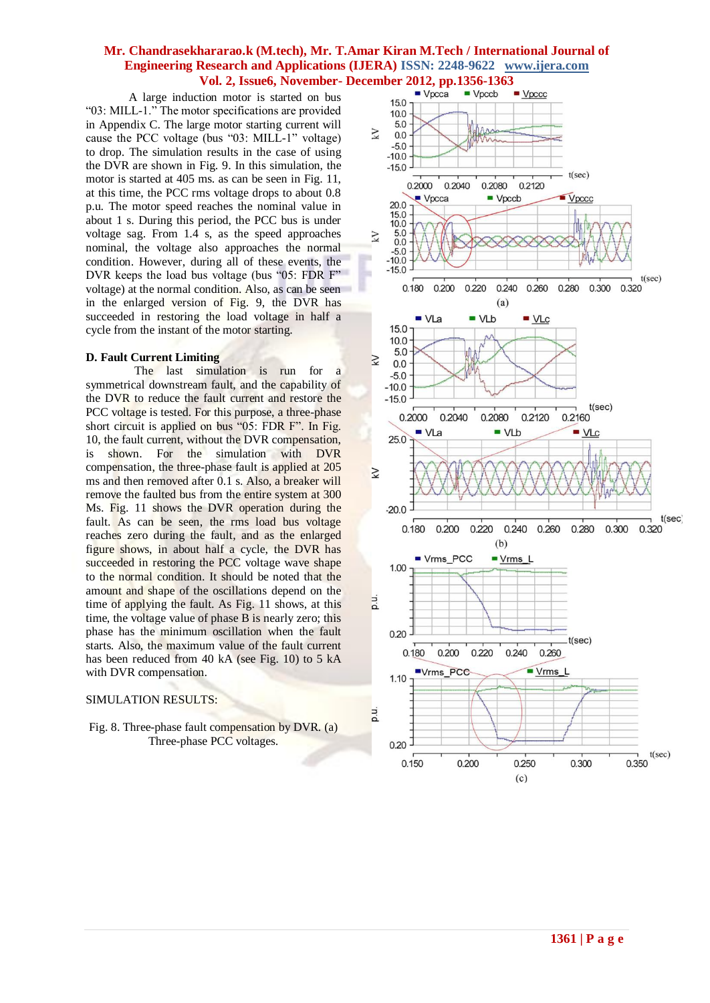A large induction motor is started on bus "03: MILL-1." The motor specifications are provided in Appendix C. The large motor starting current will cause the PCC voltage (bus "03: MILL-1" voltage) to drop. The simulation results in the case of using the DVR are shown in Fig. 9. In this simulation, the motor is started at 405 ms. as can be seen in Fig. 11, at this time, the PCC rms voltage drops to about 0.8 p.u. The motor speed reaches the nominal value in about 1 s. During this period, the PCC bus is under voltage sag. From 1.4 s, as the speed approaches nominal, the voltage also approaches the normal condition. However, during all of these events, the DVR keeps the load bus voltage (bus "05: FDR F" voltage) at the normal condition. Also, as can be seen in the enlarged version of Fig. 9, the DVR has succeeded in restoring the load voltage in half a cycle from the instant of the motor starting.

#### **D. Fault Current Limiting**

 The last simulation is run for a symmetrical downstream fault, and the capability of the DVR to reduce the fault current and restore the PCC voltage is tested. For this purpose, a three-phase short circuit is applied on bus "05: FDR F". In Fig. 10, the fault current, without the DVR compensation, is shown. For the simulation with DVR compensation, the three-phase fault is applied at 205 ms and then removed after 0.1 s. Also, a breaker will remove the faulted bus from the entire system at 300 Ms. Fig. 11 shows the DVR operation during the fault. As can be seen, the rms load bus voltage reaches zero during the fault, and as the enlarged figure shows, in about half a cycle, the DVR has succeeded in restoring the PCC voltage wave shape to the normal condition. It should be noted that the amount and shape of the oscillations depend on the time of applying the fault. As Fig. 11 shows, at this time, the voltage value of phase B is nearly zero; this phase has the minimum oscillation when the fault starts. Also, the maximum value of the fault current has been reduced from 40 kA (see Fig. 10) to 5 kA with DVR compensation.

#### SIMULATION RESULTS:

#### Fig. 8. Three-phase fault compensation by DVR. (a) Three-phase PCC voltages.

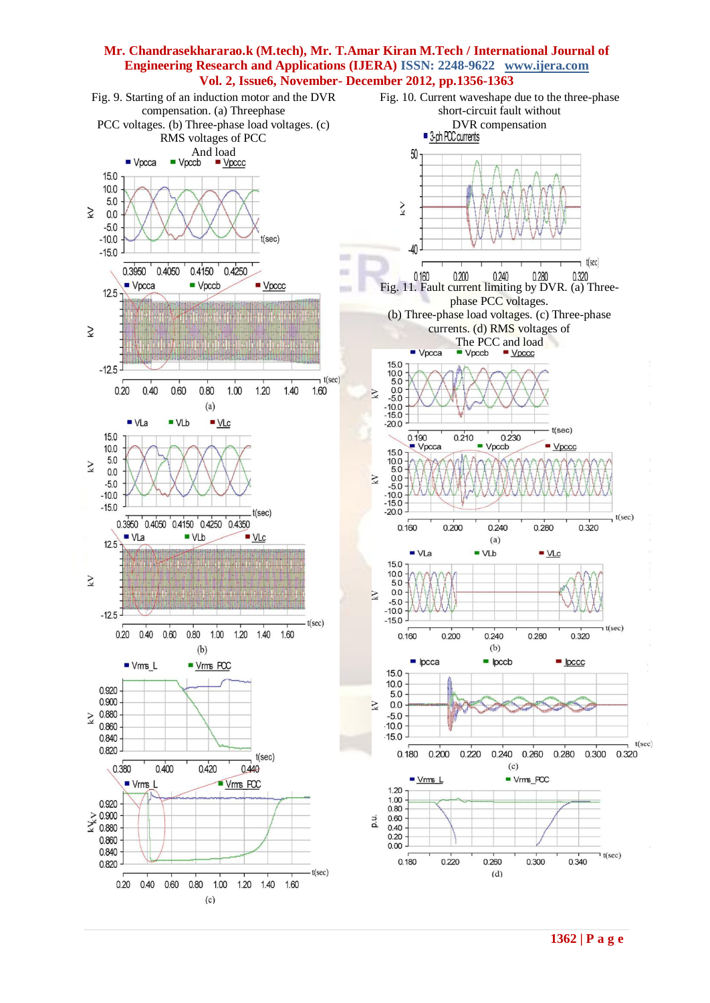

**1362 | P a g e**